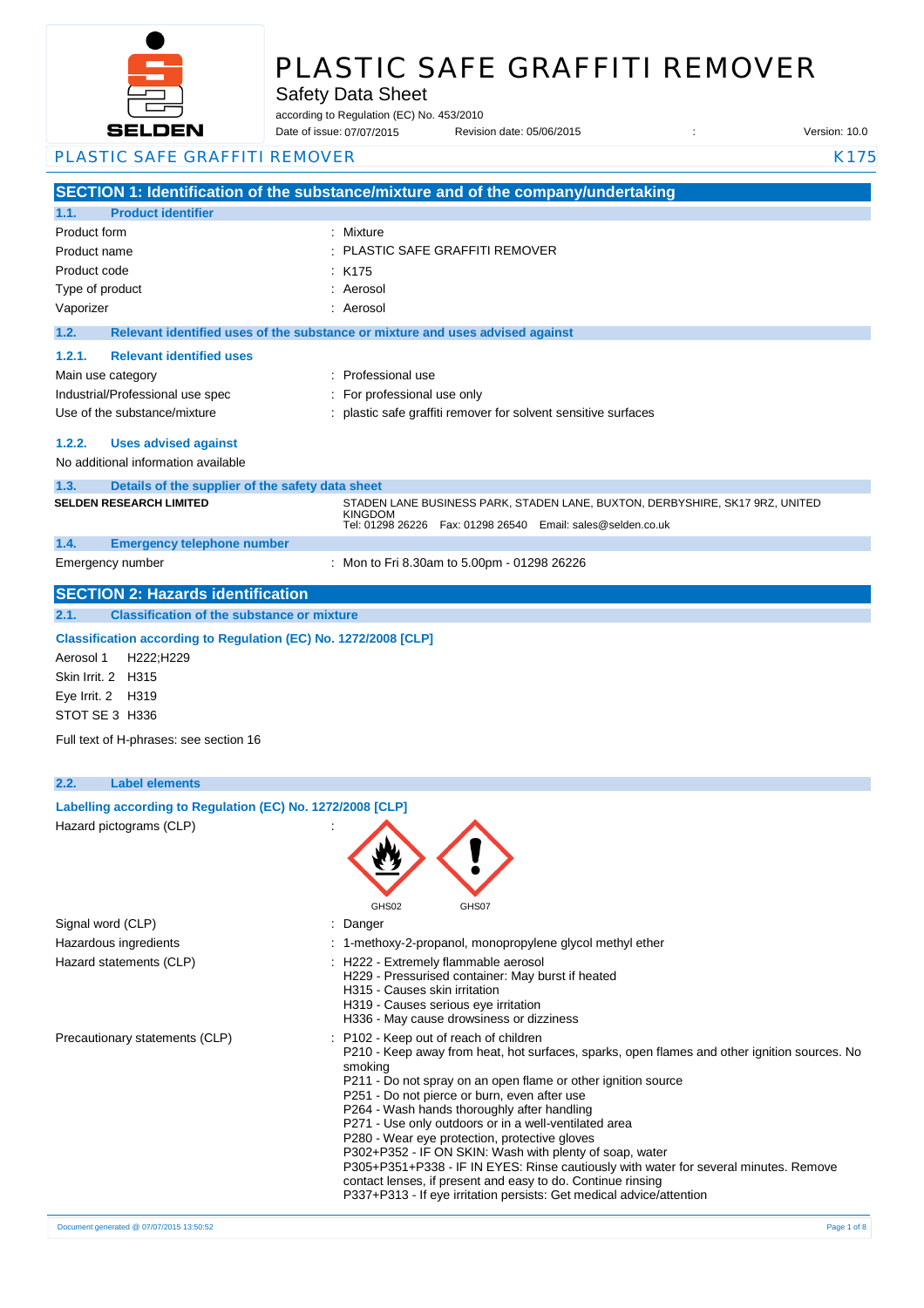

# PLASTIC SAFE GRAFFITI REMOVER

### Safety Data Sheet

according to Regulation (EC) No. 453/2010

Date of issue: Revision date: 05/06/2015 : Version: 10.0 07/07/2015

PLASTIC SAFE GRAFFITI REMOVER **KALL AND STATE AND STATE AT A REPORT OF A R** K175

**SECTION 1: Identification of the substance/mixture and of the company/undertaking 1.1. Product identifier** Product form : Nixture : Mixture Product name : Product code : Type of product in the set of the set of the set of the set of the set of the set of the set of the set of the set of the set of the set of the set of the set of the set of the set of the set of the set of the set of the s Vaporizer : Aerosol **1.2. Relevant identified uses of the substance or mixture and uses advised against 1.2.1. Relevant identified uses**  Main use category **Example 20** and the Professional use Industrial/Professional use spec : For professional use only Use of the substance/mixture  $\qquad \qquad :$  plastic safe graffiti remover for solvent sensitive surfaces **1.2.2. Uses advised against** No additional information available **1.3. Details of the supplier of the safety data sheet 1.4. Emergency telephone number** Emergency number : **SECTION 2: Hazards identification 2.1. Classification of the substance or mixture Classification according to Regulation (EC) No. 1272/2008 [CLP]** Aerosol 1 H222;H229 Skin Irrit. 2 H315 Eye Irrit. 2 H319 STOT SE 3 H336 Full text of H-phrases: see section 16 **2.2. Label elements Labelling according to Regulation (EC) No. 1272/2008 [CLP]** Hazard pictograms (CLP) : GHS02 GHS07 Signal word (CLP) in the state of the Signal word (CLP) in the state of the state of the Signal state of the S Hazardous ingredients : 1-methoxy-2-propanol, monopropylene glycol methyl ether Hazard statements (CLP)  $\qquad \qquad$  : H222 - Extremely flammable aerosol H229 - Pressurised container: May burst if heated H315 - Causes skin irritation H319 - Causes serious eye irritation H336 - May cause drowsiness or dizziness Precautionary statements (CLP) : P102 - Keep out of reach of children P210 - Keep away from heat, hot surfaces, sparks, open flames and other ignition sources. No smoking P211 - Do not spray on an open flame or other ignition source P251 - Do not pierce or burn, even after use P264 - Wash hands thoroughly after handling P271 - Use only outdoors or in a well-ventilated area P280 - Wear eye protection, protective gloves P302+P352 - IF ON SKIN: Wash with plenty of soap, water P305+P351+P338 - IF IN EYES: Rinse cautiously with water for several minutes. Remove contact lenses, if present and easy to do. Continue rinsing P337+P313 - If eye irritation persists: Get medical advice/attention PLASTIC SAFE GRAFFITI REMOVER  $K175$ **SELDEN RESEARCH LIMITED** STADEN LANE BUSINESS PARK, STADEN LANE, BUXTON, DERBYSHIRE, SK17 9RZ, UNITED KINGDOM Tel: 01298 26226 Fax: 01298 26540 Email: sales@selden.co.uk Mon to Fri 8.30am to 5.00pm - 01298 26226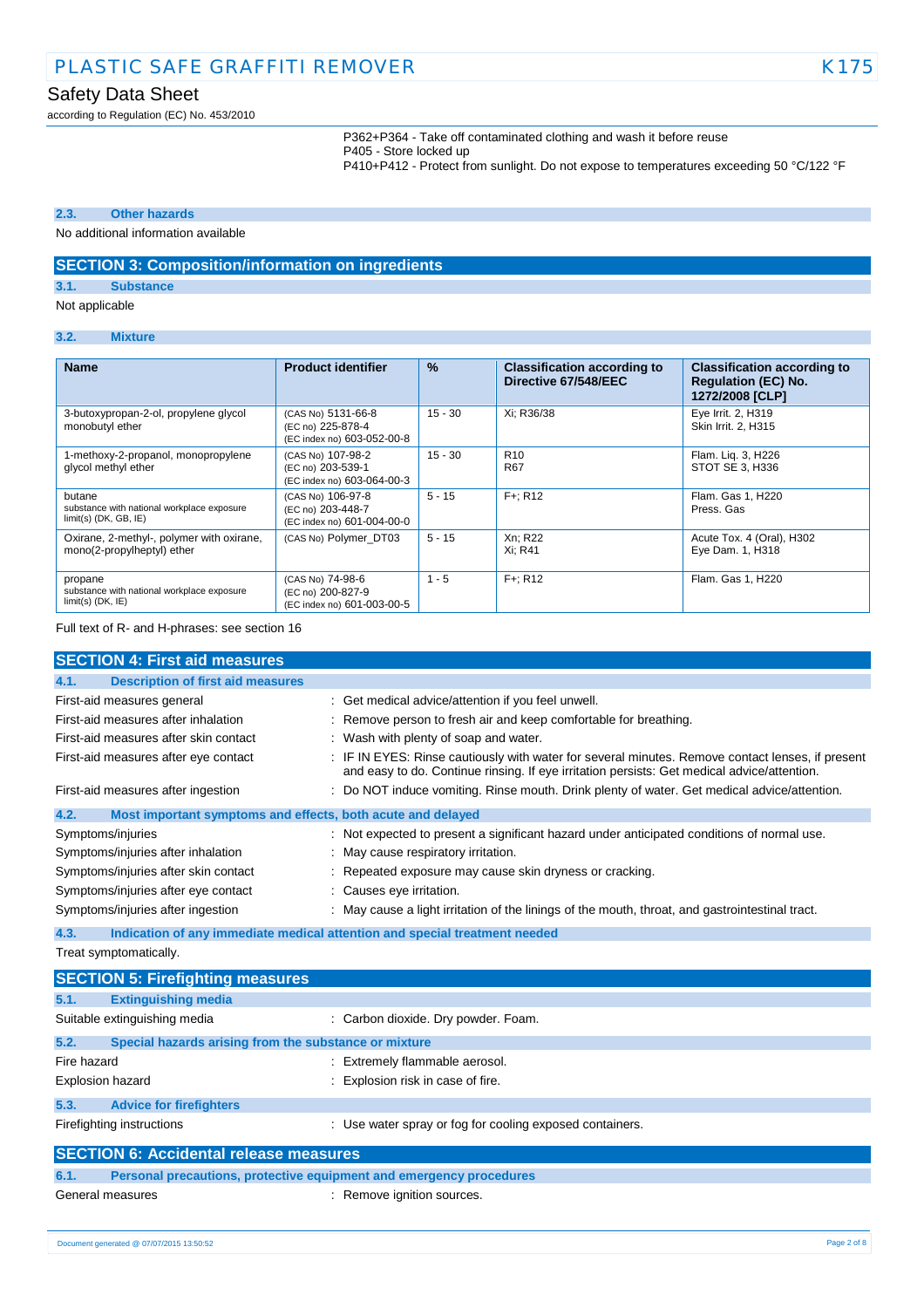according to Regulation (EC) No. 453/2010

P362+P364 - Take off contaminated clothing and wash it before reuse P405 - Store locked up P410+P412 - Protect from sunlight. Do not expose to temperatures exceeding 50 °C/122 °F

### **2.3. Other hazards**

### No additional information available

### **SECTION 3: Composition/information on ingredients**

### **3.1. Substance**

Not applicable

### **3.2. Mixture**

| <b>Name</b>                                                                     | <b>Product identifier</b>                                             | $\%$      | <b>Classification according to</b><br>Directive 67/548/EEC | <b>Classification according to</b><br><b>Regulation (EC) No.</b><br>1272/2008 [CLP] |
|---------------------------------------------------------------------------------|-----------------------------------------------------------------------|-----------|------------------------------------------------------------|-------------------------------------------------------------------------------------|
| 3-butoxypropan-2-ol, propylene glycol<br>monobutyl ether                        | (CAS No) 5131-66-8<br>(EC no) 225-878-4<br>(EC index no) 603-052-00-8 | $15 - 30$ | Xi: R36/38                                                 | Eye Irrit. 2, H319<br>Skin Irrit. 2, H315                                           |
| 1-methoxy-2-propanol, monopropylene<br>glycol methyl ether                      | (CAS No) 107-98-2<br>(EC no) 203-539-1<br>(EC index no) 603-064-00-3  | $15 - 30$ | R <sub>10</sub><br>R67                                     | Flam. Lig. 3, H226<br>STOT SE 3, H336                                               |
| butane<br>substance with national workplace exposure<br>$limit(s)$ (DK, GB, IE) | (CAS No) 106-97-8<br>(EC no) 203-448-7<br>(EC index no) 601-004-00-0  | $5 - 15$  | $F +: R12$                                                 | Flam. Gas 1, H220<br>Press, Gas                                                     |
| Oxirane, 2-methyl-, polymer with oxirane,<br>mono(2-propylheptyl) ether         | (CAS No) Polymer DT03                                                 | $5 - 15$  | Xn; R22<br>Xi: R41                                         | Acute Tox. 4 (Oral), H302<br>Eye Dam. 1, H318                                       |
| propane<br>substance with national workplace exposure<br>$limit(s)$ (DK, $IE$ ) | (CAS No) 74-98-6<br>(EC no) 200-827-9<br>(EC index no) 601-003-00-5   | $1 - 5$   | $F +: R12$                                                 | Flam. Gas 1, H220                                                                   |

Full text of R- and H-phrases: see section 16

| <b>SECTION 4: First aid measures</b>                                        |                                                                                                                                                                                               |
|-----------------------------------------------------------------------------|-----------------------------------------------------------------------------------------------------------------------------------------------------------------------------------------------|
| <b>Description of first aid measures</b><br>4.1.                            |                                                                                                                                                                                               |
| First-aid measures general                                                  | Get medical advice/attention if you feel unwell.                                                                                                                                              |
| First-aid measures after inhalation                                         | Remove person to fresh air and keep comfortable for breathing.                                                                                                                                |
| First-aid measures after skin contact                                       | Wash with plenty of soap and water.                                                                                                                                                           |
| First-aid measures after eye contact                                        | IF IN EYES: Rinse cautiously with water for several minutes. Remove contact lenses, if present<br>and easy to do. Continue rinsing. If eye irritation persists: Get medical advice/attention. |
| First-aid measures after ingestion                                          | Do NOT induce vomiting. Rinse mouth. Drink plenty of water. Get medical advice/attention.                                                                                                     |
| 4.2.<br>Most important symptoms and effects, both acute and delayed         |                                                                                                                                                                                               |
| Symptoms/injuries                                                           | : Not expected to present a significant hazard under anticipated conditions of normal use.                                                                                                    |
| Symptoms/injuries after inhalation                                          | May cause respiratory irritation.                                                                                                                                                             |
| Symptoms/injuries after skin contact                                        | Repeated exposure may cause skin dryness or cracking.                                                                                                                                         |
| Symptoms/injuries after eye contact                                         | Causes eye irritation.                                                                                                                                                                        |
| Symptoms/injuries after ingestion                                           | May cause a light irritation of the linings of the mouth, throat, and gastrointestinal tract.                                                                                                 |
| 4.3.                                                                        | Indication of any immediate medical attention and special treatment needed                                                                                                                    |
| Treat symptomatically.                                                      |                                                                                                                                                                                               |
| <b>SECTION 5: Firefighting measures</b>                                     |                                                                                                                                                                                               |
| <b>Extinguishing media</b><br>5.1.                                          |                                                                                                                                                                                               |
| Suitable extinguishing media                                                | : Carbon dioxide. Dry powder. Foam.                                                                                                                                                           |
| 5.2.<br>Special hazards arising from the substance or mixture               |                                                                                                                                                                                               |
| Fire hazard                                                                 | Extremely flammable aerosol.                                                                                                                                                                  |
| Explosion hazard                                                            | Explosion risk in case of fire.                                                                                                                                                               |
| 5.3.<br><b>Advice for firefighters</b>                                      |                                                                                                                                                                                               |
| Firefighting instructions                                                   | : Use water spray or fog for cooling exposed containers.                                                                                                                                      |
| <b>SECTION 6: Accidental release measures</b>                               |                                                                                                                                                                                               |
| 6.1.<br>Personal precautions, protective equipment and emergency procedures |                                                                                                                                                                                               |
| General measures                                                            | Remove ignition sources.                                                                                                                                                                      |

12/06/2015 EN (English) 2/8 Document generated @ 07/07/2015 13:50:52 Page 2 of 8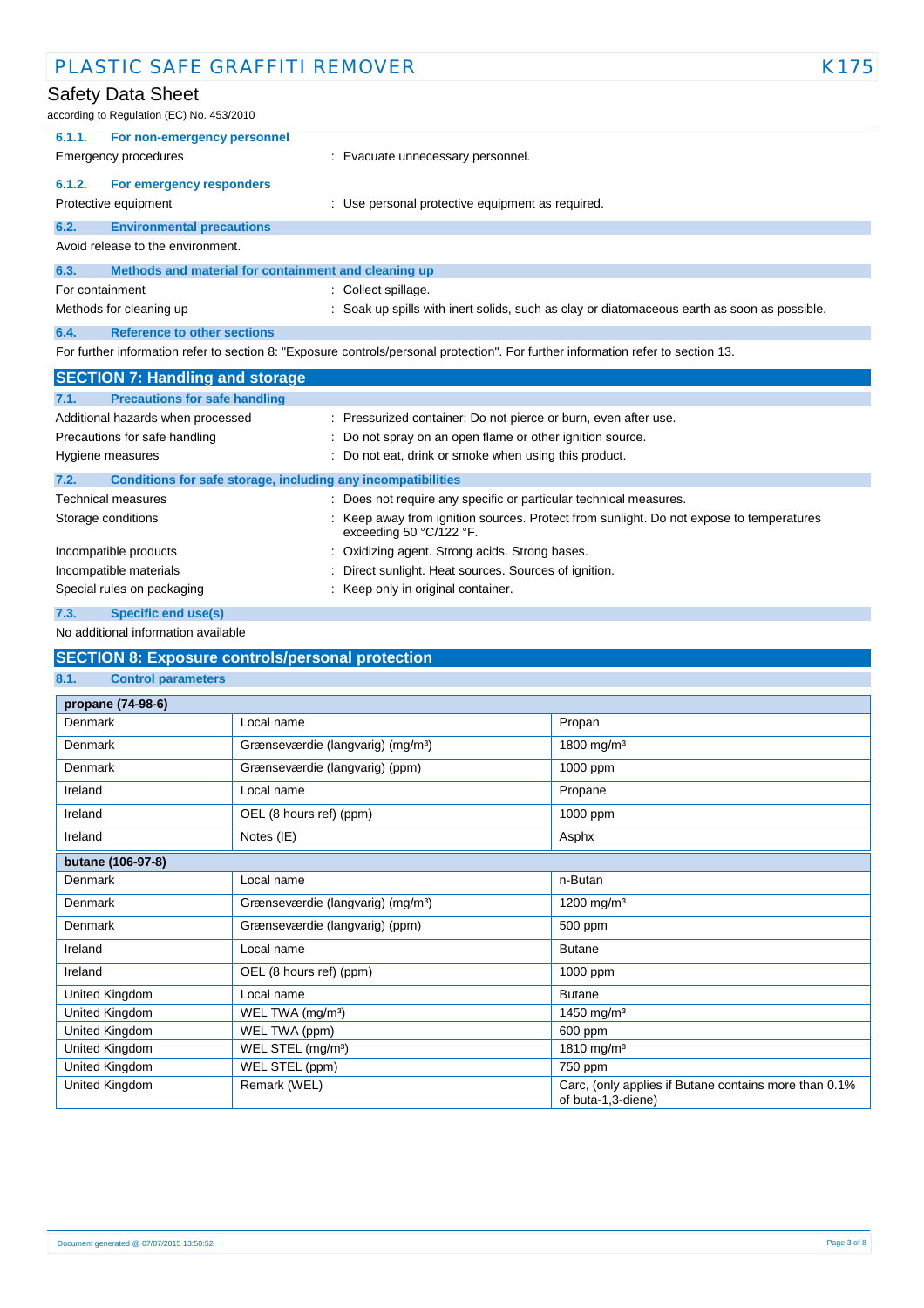| PLASTIC SAFE GRAFFITI REMOVER                                        |                                                                                                                                   | K175 |
|----------------------------------------------------------------------|-----------------------------------------------------------------------------------------------------------------------------------|------|
| Safety Data Sheet<br>according to Regulation (EC) No. 453/2010       |                                                                                                                                   |      |
| 6.1.1.<br>For non-emergency personnel                                |                                                                                                                                   |      |
| <b>Emergency procedures</b>                                          | : Evacuate unnecessary personnel.                                                                                                 |      |
| 6.1.2.<br>For emergency responders                                   |                                                                                                                                   |      |
| Protective equipment                                                 | : Use personal protective equipment as required.                                                                                  |      |
| 6.2.<br><b>Environmental precautions</b>                             |                                                                                                                                   |      |
| Avoid release to the environment.                                    |                                                                                                                                   |      |
| 6.3.<br>Methods and material for containment and cleaning up         |                                                                                                                                   |      |
| For containment                                                      | : Collect spillage.                                                                                                               |      |
| Methods for cleaning up                                              | : Soak up spills with inert solids, such as clay or diatomaceous earth as soon as possible.                                       |      |
| 6.4.<br><b>Reference to other sections</b>                           |                                                                                                                                   |      |
|                                                                      | For further information refer to section 8: "Exposure controls/personal protection". For further information refer to section 13. |      |
| <b>SECTION 7: Handling and storage</b>                               |                                                                                                                                   |      |
| <b>Precautions for safe handling</b><br>7.1.                         |                                                                                                                                   |      |
| Additional hazards when processed                                    | : Pressurized container: Do not pierce or burn, even after use.                                                                   |      |
| Precautions for safe handling                                        | Do not spray on an open flame or other ignition source.                                                                           |      |
| Hygiene measures                                                     | : Do not eat, drink or smoke when using this product.                                                                             |      |
| Conditions for safe storage, including any incompatibilities<br>7.2. |                                                                                                                                   |      |
| <b>Technical measures</b>                                            | : Does not require any specific or particular technical measures.                                                                 |      |
| Storage conditions                                                   | Keep away from ignition sources. Protect from sunlight. Do not expose to temperatures<br>exceeding 50 °C/122 °F.                  |      |
| Incompatible products                                                | Oxidizing agent. Strong acids. Strong bases.                                                                                      |      |
| Incompatible materials                                               | Direct sunlight. Heat sources. Sources of ignition.                                                                               |      |
| Special rules on packaging                                           | Keep only in original container.                                                                                                  |      |

- **7.3. Specific end use(s)**
- No additional information available

# **SECTION 8: Exposure controls/personal protection**

# **8.1. Control parameters**

| propane (74-98-6) |                                               |                                                                             |
|-------------------|-----------------------------------------------|-----------------------------------------------------------------------------|
| Denmark           | Local name                                    | Propan                                                                      |
| Denmark           | Grænseværdie (langvarig) (mg/m <sup>3</sup> ) | 1800 mg/m <sup>3</sup>                                                      |
| Denmark           | Grænseværdie (langvarig) (ppm)                | 1000 ppm                                                                    |
| Ireland           | Local name                                    | Propane                                                                     |
| Ireland           | OEL (8 hours ref) (ppm)                       | 1000 ppm                                                                    |
| Ireland           | Notes (IE)                                    | Asphx                                                                       |
| butane (106-97-8) |                                               |                                                                             |
| Denmark           | Local name                                    | n-Butan                                                                     |
| Denmark           | Grænseværdie (langvarig) (mg/m <sup>3</sup> ) | 1200 mg/m <sup>3</sup>                                                      |
| Denmark           | Grænseværdie (langvarig) (ppm)                | 500 ppm                                                                     |
| Ireland           | Local name                                    | <b>Butane</b>                                                               |
| Ireland           | OEL (8 hours ref) (ppm)                       | 1000 ppm                                                                    |
| United Kingdom    | Local name                                    | <b>Butane</b>                                                               |
| United Kingdom    | WEL TWA (mg/m <sup>3</sup> )                  | 1450 mg/m <sup>3</sup>                                                      |
| United Kingdom    | WEL TWA (ppm)                                 | 600 ppm                                                                     |
| United Kingdom    | WEL STEL (mg/m <sup>3</sup> )                 | 1810 mg/m <sup>3</sup>                                                      |
| United Kingdom    | WEL STEL (ppm)                                | 750 ppm                                                                     |
| United Kingdom    | Remark (WEL)                                  | Carc, (only applies if Butane contains more than 0.1%<br>of buta-1,3-diene) |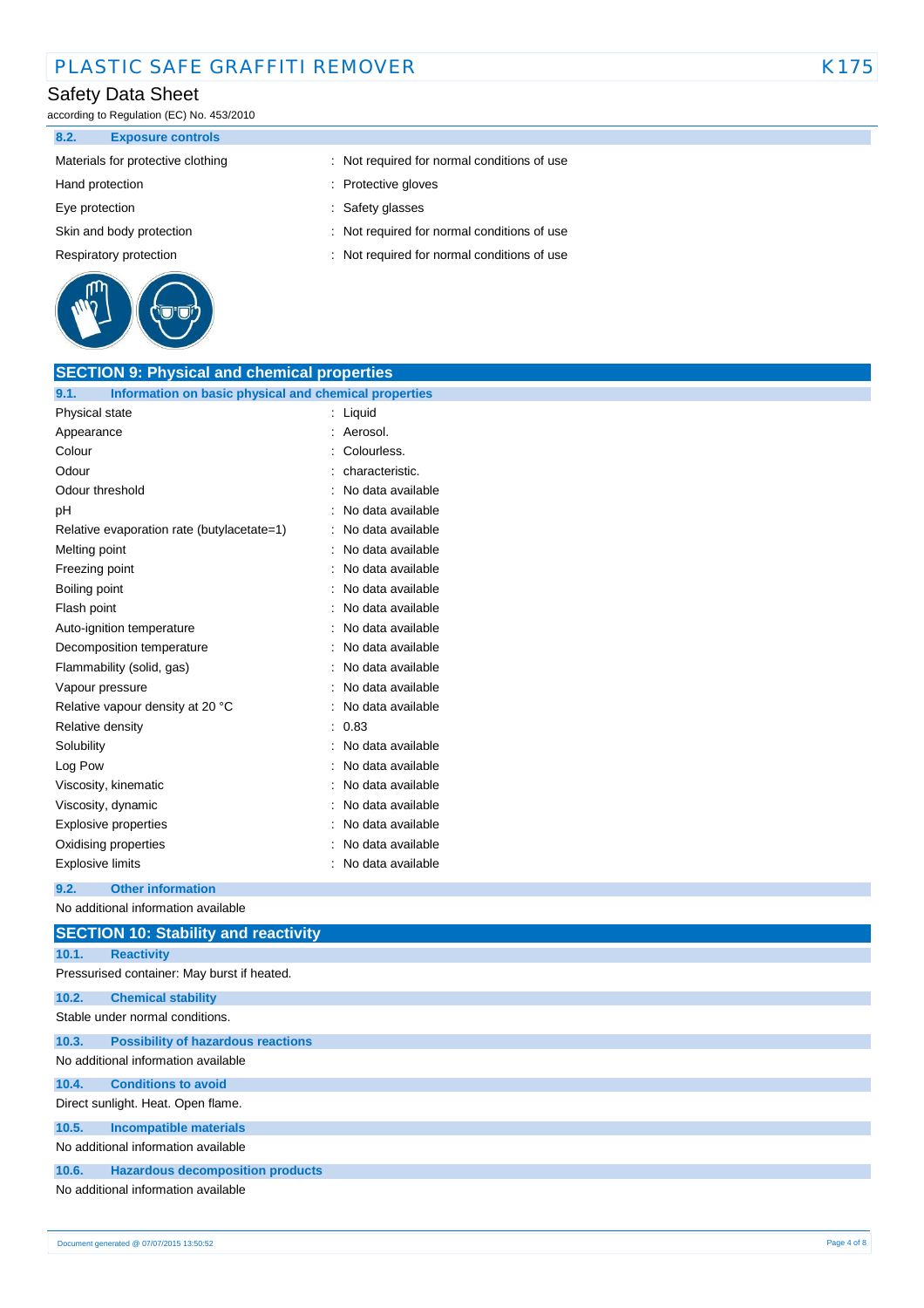# PLASTIC SAFE GRAFFITI REMOVER K175

# Safety Data Sheet

according to Regulation (EC) No. 453/2010

### **8.2. Exposure controls**

- 
- 
- 
- 
- 



- Materials for protective clothing : Not required for normal conditions of use
- Hand protection **in the contract of the contract of the contract of the contract of the contract of the contract of the contract of the contract of the contract of the contract of the contract of the contract of the contra**
- Eye protection  $\qquad \qquad$ : Safety glasses
- Skin and body protection : Not required for normal conditions of use
- Respiratory protection : Not required for normal conditions of use

| <b>SECTION 9: Physical and chemical properties</b>            |  |                   |             |
|---------------------------------------------------------------|--|-------------------|-------------|
| Information on basic physical and chemical properties<br>9.1. |  |                   |             |
| Physical state                                                |  | : Liquid          |             |
| Appearance                                                    |  | : Aerosol.        |             |
| Colour                                                        |  | Colourless.       |             |
| Odour                                                         |  | characteristic.   |             |
| Odour threshold                                               |  | No data available |             |
| рH                                                            |  | No data available |             |
| Relative evaporation rate (butylacetate=1)                    |  | No data available |             |
| Melting point                                                 |  | No data available |             |
| Freezing point                                                |  | No data available |             |
| Boiling point                                                 |  | No data available |             |
| Flash point                                                   |  | No data available |             |
| Auto-ignition temperature                                     |  | No data available |             |
| Decomposition temperature                                     |  | No data available |             |
| Flammability (solid, gas)                                     |  | No data available |             |
| Vapour pressure                                               |  | No data available |             |
| Relative vapour density at 20 °C                              |  | No data available |             |
| Relative density                                              |  | 0.83              |             |
| Solubility                                                    |  | No data available |             |
| Log Pow                                                       |  | No data available |             |
| Viscosity, kinematic                                          |  | No data available |             |
| Viscosity, dynamic                                            |  | No data available |             |
| Explosive properties                                          |  | No data available |             |
| Oxidising properties                                          |  | No data available |             |
| <b>Explosive limits</b>                                       |  | No data available |             |
| 9.2.<br><b>Other information</b>                              |  |                   |             |
| No additional information available                           |  |                   |             |
| <b>SECTION 10: Stability and reactivity</b>                   |  |                   |             |
| 10.1.<br><b>Reactivity</b>                                    |  |                   |             |
| Pressurised container: May burst if heated.                   |  |                   |             |
| 10.2.<br><b>Chemical stability</b>                            |  |                   |             |
| Stable under normal conditions.                               |  |                   |             |
| <b>Possibility of hazardous reactions</b><br>10.3.            |  |                   |             |
| No additional information available                           |  |                   |             |
| 10.4.<br><b>Conditions to avoid</b>                           |  |                   |             |
| Direct sunlight. Heat. Open flame.                            |  |                   |             |
| <b>Incompatible materials</b><br>10.5.                        |  |                   |             |
| No additional information available                           |  |                   |             |
| 10.6.<br><b>Hazardous decomposition products</b>              |  |                   |             |
| No additional information available                           |  |                   |             |
|                                                               |  |                   |             |
| Document generated @ 07/07/2015 13:50:52                      |  |                   | Page 4 of 8 |
|                                                               |  |                   |             |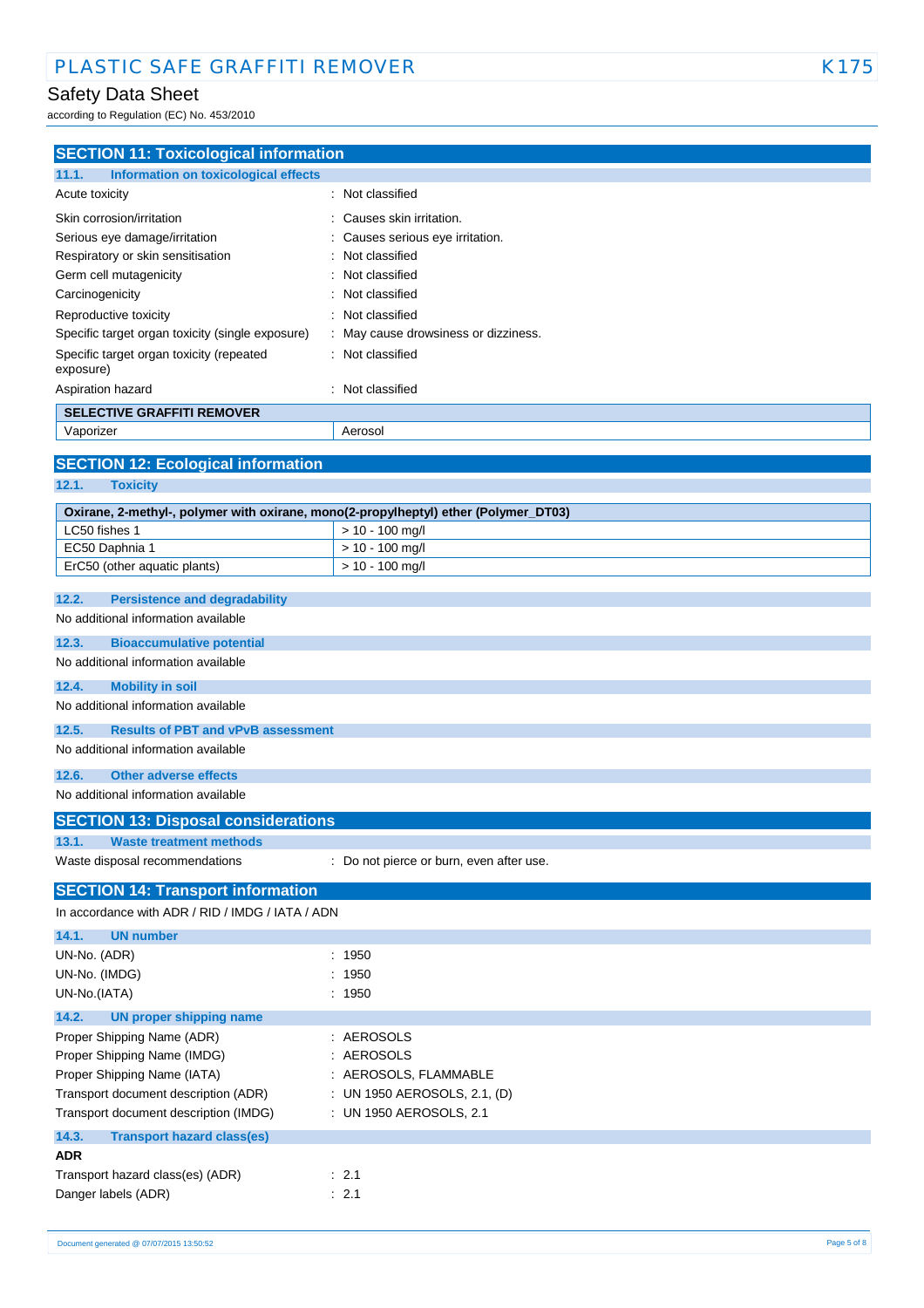according to Regulation (EC) No. 453/2010

| <b>SECTION 11: Toxicological information</b>                                        |                                          |  |  |
|-------------------------------------------------------------------------------------|------------------------------------------|--|--|
| 11.1.<br>Information on toxicological effects                                       |                                          |  |  |
| Acute toxicity                                                                      | Not classified                           |  |  |
| Skin corrosion/irritation                                                           | Causes skin irritation.                  |  |  |
| Serious eye damage/irritation                                                       | Causes serious eye irritation.           |  |  |
| Respiratory or skin sensitisation                                                   | Not classified                           |  |  |
| Germ cell mutagenicity                                                              | Not classified                           |  |  |
| Carcinogenicity                                                                     | Not classified                           |  |  |
| Reproductive toxicity                                                               | Not classified                           |  |  |
| Specific target organ toxicity (single exposure)                                    | May cause drowsiness or dizziness.       |  |  |
| Specific target organ toxicity (repeated<br>exposure)                               | : Not classified                         |  |  |
| Aspiration hazard                                                                   | Not classified                           |  |  |
| <b>SELECTIVE GRAFFITI REMOVER</b>                                                   |                                          |  |  |
| Vaporizer                                                                           | Aerosol                                  |  |  |
|                                                                                     |                                          |  |  |
| <b>SECTION 12: Ecological information</b>                                           |                                          |  |  |
| 12.1.<br><b>Toxicity</b>                                                            |                                          |  |  |
| Oxirane, 2-methyl-, polymer with oxirane, mono(2-propylheptyl) ether (Polymer_DT03) |                                          |  |  |
| LC50 fishes 1                                                                       | $> 10 - 100$ mg/l                        |  |  |
| EC50 Daphnia 1                                                                      | $> 10 - 100$ mg/l                        |  |  |
| ErC50 (other aquatic plants)                                                        | $> 10 - 100$ mg/l                        |  |  |
| 12.2.<br><b>Persistence and degradability</b>                                       |                                          |  |  |
| No additional information available                                                 |                                          |  |  |
|                                                                                     |                                          |  |  |
| 12.3.<br><b>Bioaccumulative potential</b>                                           |                                          |  |  |
| No additional information available                                                 |                                          |  |  |
| 12.4.<br><b>Mobility in soil</b>                                                    |                                          |  |  |
| No additional information available                                                 |                                          |  |  |
| <b>Results of PBT and vPvB assessment</b><br>12.5.                                  |                                          |  |  |
| No additional information available                                                 |                                          |  |  |
| <b>Other adverse effects</b><br>12.6.                                               |                                          |  |  |
| No additional information available                                                 |                                          |  |  |
|                                                                                     |                                          |  |  |
| <b>SECTION 13: Disposal considerations</b>                                          |                                          |  |  |
| 13.1.<br><b>Waste treatment methods</b>                                             |                                          |  |  |
| Waste disposal recommendations                                                      | : Do not pierce or burn, even after use. |  |  |
| <b>SECTION 14: Transport information</b>                                            |                                          |  |  |
| In accordance with ADR / RID / IMDG / IATA / ADN                                    |                                          |  |  |
| <b>UN number</b><br>14.1.                                                           |                                          |  |  |
| UN-No. (ADR)                                                                        | 1950<br>$\bullet$                        |  |  |
| UN-No. (IMDG)                                                                       | 1950                                     |  |  |
| UN-No.(IATA)                                                                        | 1950<br>÷                                |  |  |
| 14.2.<br><b>UN proper shipping name</b>                                             |                                          |  |  |
| Proper Shipping Name (ADR)                                                          | : AEROSOLS                               |  |  |
| Proper Shipping Name (IMDG)                                                         | AEROSOLS                                 |  |  |
| Proper Shipping Name (IATA)                                                         | : AEROSOLS, FLAMMABLE                    |  |  |
| Transport document description (ADR)                                                | : UN 1950 AEROSOLS, 2.1, (D)             |  |  |
| Transport document description (IMDG)                                               | : UN 1950 AEROSOLS, 2.1                  |  |  |
| 14.3.<br><b>Transport hazard class(es)</b>                                          |                                          |  |  |
| <b>ADR</b>                                                                          |                                          |  |  |
| Transport hazard class(es) (ADR)                                                    | $\therefore$ 2.1                         |  |  |
| Danger labels (ADR)                                                                 | : 2.1                                    |  |  |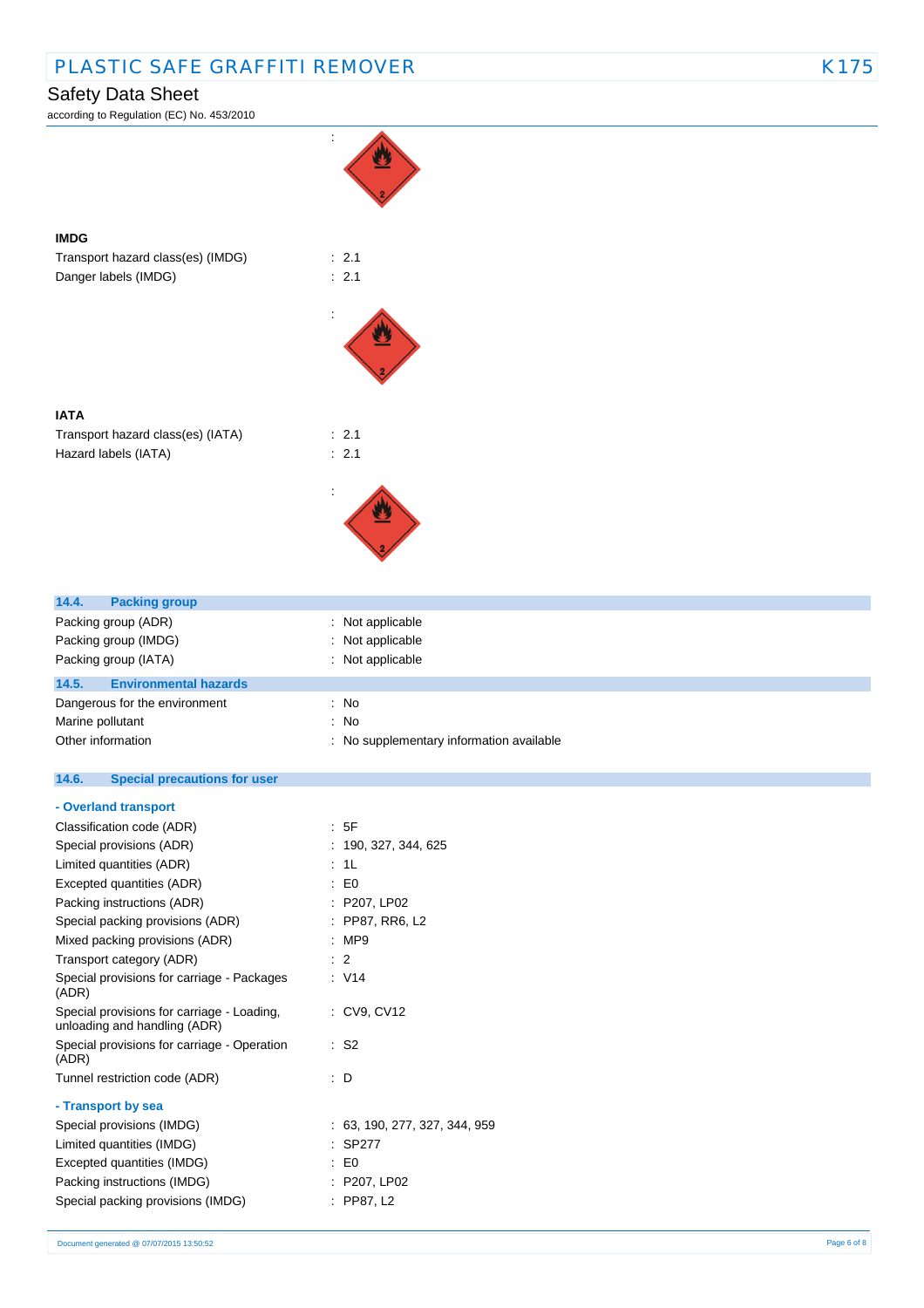# PLASTIC SAFE GRAFFITI REMOVER K175

# Safety Data Sheet

according to Regulation (EC) No. 453/2010





**IMDG**

Transport hazard class(es) (IATA) : 2.1 Hazard labels (IATA)  $\qquad \qquad$  : 2.1



| 14.4.                | <b>Packing group</b>          |                                        |
|----------------------|-------------------------------|----------------------------------------|
| Packing group (ADR)  |                               | Not applicable                         |
|                      | Packing group (IMDG)          | Not applicable                         |
| Packing group (IATA) |                               | Not applicable                         |
| 14.5.                | <b>Environmental hazards</b>  |                                        |
|                      | Dangerous for the environment | : No                                   |
| Marine pollutant     |                               | : No                                   |
| Other information    |                               | No supplementary information available |

#### $14.6.$ **14.6. Special precautions for user**

| - Overland transport                                                       |                               |
|----------------------------------------------------------------------------|-------------------------------|
| Classification code (ADR)                                                  | : 5F                          |
| Special provisions (ADR)                                                   | : 190, 327, 344, 625          |
| Limited quantities (ADR)                                                   | : 1L                          |
| Excepted quantities (ADR)                                                  | $E_0$                         |
| Packing instructions (ADR)                                                 | : P207, LP02                  |
| Special packing provisions (ADR)                                           | : PP87, RR6, L2               |
| Mixed packing provisions (ADR)                                             | :MP9                          |
| Transport category (ADR)                                                   | $\therefore$ 2                |
| Special provisions for carriage - Packages<br>(ADR)                        | : V14                         |
| Special provisions for carriage - Loading,<br>unloading and handling (ADR) | : CV9. CV12                   |
| Special provisions for carriage - Operation<br>(ADR)                       | : S2                          |
| Tunnel restriction code (ADR)                                              | : D                           |
| - Transport by sea                                                         |                               |
| Special provisions (IMDG)                                                  | : 63, 190, 277, 327, 344, 959 |
| Limited quantities (IMDG)                                                  | $:$ SP277                     |
| Excepted quantities (IMDG)                                                 | : E0                          |
| Packing instructions (IMDG)                                                | : P207, LP02                  |
| Special packing provisions (IMDG)                                          | PP87, L2                      |
|                                                                            |                               |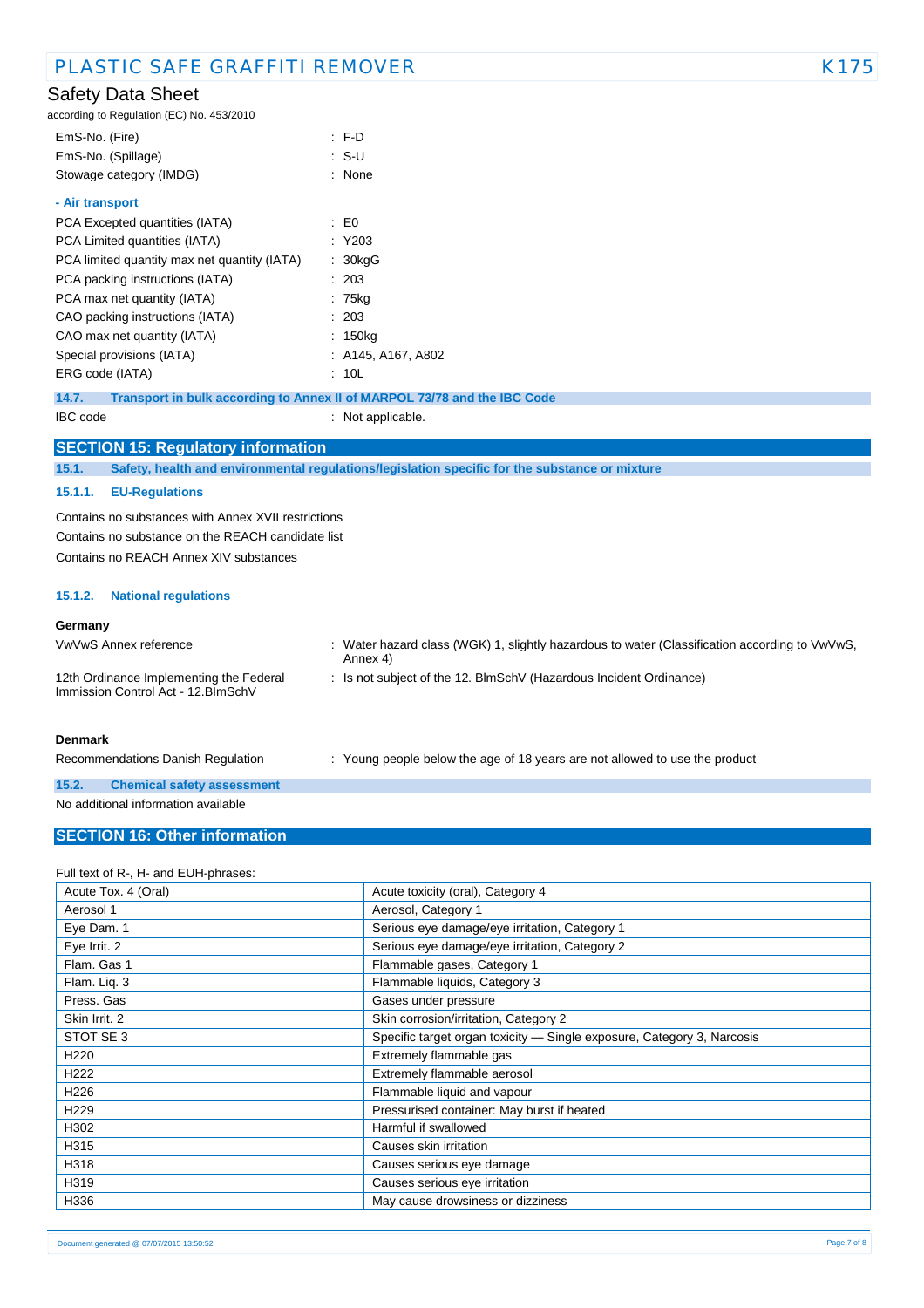aulation  $(EC)$  No.  $452/2010$ 

| accoluing to Regulation (EC) NO. 453/2010    |                                                                          |
|----------------------------------------------|--------------------------------------------------------------------------|
| EmS-No. (Fire)                               | $F-D$                                                                    |
| EmS-No. (Spillage)                           | : S-U                                                                    |
| Stowage category (IMDG)                      | : None                                                                   |
| - Air transport                              |                                                                          |
| PCA Excepted quantities (IATA)               | : E0                                                                     |
| PCA Limited quantities (IATA)                | : Y203                                                                   |
| PCA limited quantity max net quantity (IATA) | : 30kgG                                                                  |
| PCA packing instructions (IATA)              | : 203                                                                    |
| PCA max net quantity (IATA)                  | : 75kg                                                                   |
| CAO packing instructions (IATA)              | : 203                                                                    |
| CAO max net quantity (IATA)                  | : 150kg                                                                  |
| Special provisions (IATA)                    | : A145, A167, A802                                                       |
| ERG code (IATA)                              | : 10L                                                                    |
| 14.7.                                        | Transport in bulk according to Annex II of MARPOL 73/78 and the IBC Code |

IBC code : Not applicable.

#### **SECTION 15: Regulatory information**

**15.1. Safety, health and environmental regulations/legislation specific for the substance or mixture**

#### **15.1.1. EU-Regulations**

Contains no substances with Annex XVII restrictions Contains no substance on the REACH candidate list Contains no REACH Annex XIV substances

#### **15.1.2. National regulations**

#### **Germany**

| VwVwS Annex reference                                                          | : Water hazard class (WGK) 1, slightly hazardous to water (Classification according to $VwVwS$ ,<br>Annex 4) |
|--------------------------------------------------------------------------------|--------------------------------------------------------------------------------------------------------------|
| 12th Ordinance Implementing the Federal<br>Immission Control Act - 12. BlmSchV | : Is not subject of the 12. BlmSchV (Hazardous Incident Ordinance)                                           |
| <b>Denmark</b>                                                                 |                                                                                                              |

Recommendations Danish Regulation : Young people below the age of 18 years are not allowed to use the product **15.2. Chemical safety assessment**

# No additional information available

### **SECTION 16: Other information**

### Full text of R-, H- and EUH-phrases:

| Acute Tox. 4 (Oral) | Acute toxicity (oral), Category 4                                      |
|---------------------|------------------------------------------------------------------------|
| Aerosol 1           | Aerosol, Category 1                                                    |
| Eye Dam. 1          | Serious eye damage/eye irritation, Category 1                          |
| Eye Irrit. 2        | Serious eye damage/eye irritation, Category 2                          |
| Flam. Gas 1         | Flammable gases, Category 1                                            |
| Flam. Liq. 3        | Flammable liquids, Category 3                                          |
| Press, Gas          | Gases under pressure                                                   |
| Skin Irrit. 2       | Skin corrosion/irritation, Category 2                                  |
| STOT SE 3           | Specific target organ toxicity - Single exposure, Category 3, Narcosis |
| H <sub>220</sub>    | Extremely flammable gas                                                |
| H <sub>222</sub>    | Extremely flammable aerosol                                            |
| H <sub>226</sub>    | Flammable liquid and vapour                                            |
| H <sub>229</sub>    | Pressurised container: May burst if heated                             |
| H302                | Harmful if swallowed                                                   |
| H315                | Causes skin irritation                                                 |
| H318                | Causes serious eye damage                                              |
| H319                | Causes serious eye irritation                                          |
| H336                | May cause drowsiness or dizziness                                      |